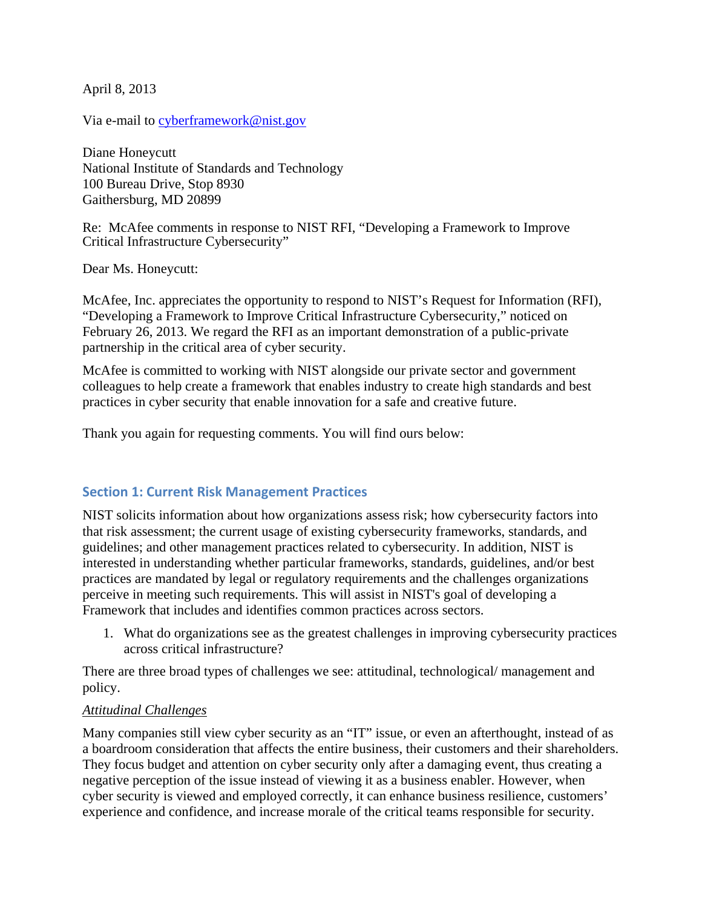April 8, 2013

Via e-mail to [cyberframework@nist.gov](mailto:cyberframework@nist.gov)

Diane Honeycutt National Institute of Standards and Technology 100 Bureau Drive, Stop 8930 Gaithersburg, MD 20899

Re: McAfee comments in response to NIST RFI, "Developing a Framework to Improve Critical Infrastructure Cybersecurity"

Dear Ms. Honeycutt:

McAfee, Inc. appreciates the opportunity to respond to NIST's Request for Information (RFI), "Developing a Framework to Improve Critical Infrastructure Cybersecurity," noticed on February 26, 2013. We regard the RFI as an important demonstration of a public-private partnership in the critical area of cyber security.

McAfee is committed to working with NIST alongside our private sector and government colleagues to help create a framework that enables industry to create high standards and best practices in cyber security that enable innovation for a safe and creative future.

Thank you again for requesting comments. You will find ours below:

## **Section 1: Current Risk Management Practices**

NIST solicits information about how organizations assess risk; how cybersecurity factors into that risk assessment; the current usage of existing cybersecurity frameworks, standards, and guidelines; and other management practices related to cybersecurity. In addition, NIST is interested in understanding whether particular frameworks, standards, guidelines, and/or best practices are mandated by legal or regulatory requirements and the challenges organizations perceive in meeting such requirements. This will assist in NIST's goal of developing a Framework that includes and identifies common practices across sectors.

1. What do organizations see as the greatest challenges in improving cybersecurity practices across critical infrastructure?

There are three broad types of challenges we see: attitudinal, technological/ management and policy.

#### *Attitudinal Challenges*

Many companies still view cyber security as an "IT" issue, or even an afterthought, instead of as a boardroom consideration that affects the entire business, their customers and their shareholders. They focus budget and attention on cyber security only after a damaging event, thus creating a negative perception of the issue instead of viewing it as a business enabler. However, when cyber security is viewed and employed correctly, it can enhance business resilience, customers' experience and confidence, and increase morale of the critical teams responsible for security.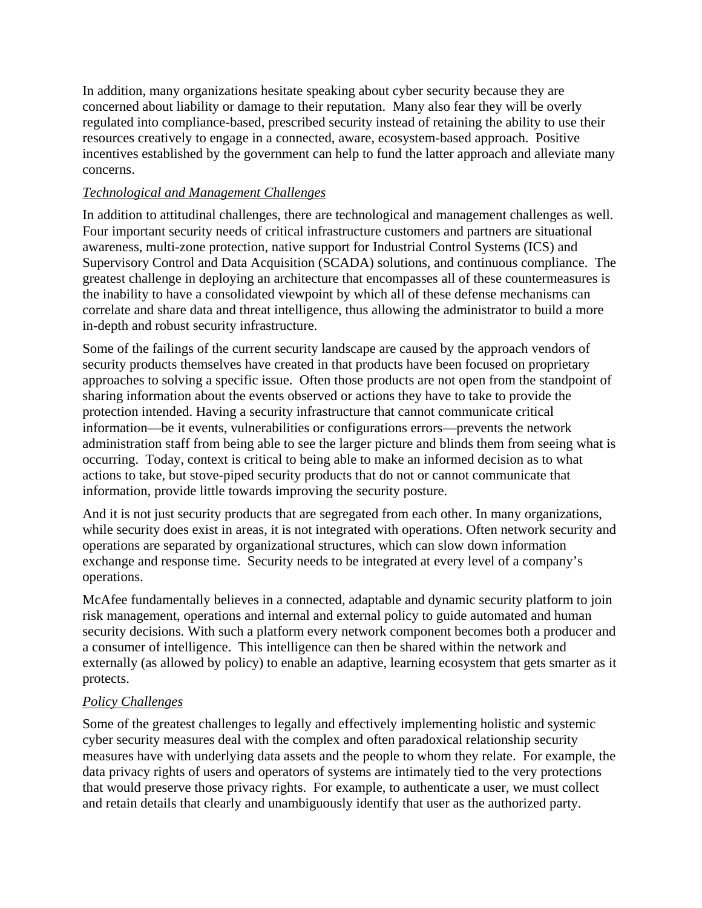In addition, many organizations hesitate speaking about cyber security because they are concerned about liability or damage to their reputation. Many also fear they will be overly regulated into compliance-based, prescribed security instead of retaining the ability to use their resources creatively to engage in a connected, aware, ecosystem-based approach. Positive incentives established by the government can help to fund the latter approach and alleviate many concerns.

# *Technological and Management Challenges*

In addition to attitudinal challenges, there are technological and management challenges as well. Four important security needs of critical infrastructure customers and partners are situational awareness, multi-zone protection, native support for Industrial Control Systems (ICS) and Supervisory Control and Data Acquisition (SCADA) solutions, and continuous compliance. The greatest challenge in deploying an architecture that encompasses all of these countermeasures is the inability to have a consolidated viewpoint by which all of these defense mechanisms can correlate and share data and threat intelligence, thus allowing the administrator to build a more in-depth and robust security infrastructure.

Some of the failings of the current security landscape are caused by the approach vendors of security products themselves have created in that products have been focused on proprietary approaches to solving a specific issue. Often those products are not open from the standpoint of sharing information about the events observed or actions they have to take to provide the protection intended. Having a security infrastructure that cannot communicate critical information—be it events, vulnerabilities or configurations errors—prevents the network administration staff from being able to see the larger picture and blinds them from seeing what is occurring. Today, context is critical to being able to make an informed decision as to what actions to take, but stove-piped security products that do not or cannot communicate that information, provide little towards improving the security posture.

And it is not just security products that are segregated from each other. In many organizations, while security does exist in areas, it is not integrated with operations. Often network security and operations are separated by organizational structures, which can slow down information exchange and response time. Security needs to be integrated at every level of a company's operations.

McAfee fundamentally believes in a connected, adaptable and dynamic security platform to join risk management, operations and internal and external policy to guide automated and human security decisions. With such a platform every network component becomes both a producer and a consumer of intelligence. This intelligence can then be shared within the network and externally (as allowed by policy) to enable an adaptive, learning ecosystem that gets smarter as it protects.

## *Policy Challenges*

Some of the greatest challenges to legally and effectively implementing holistic and systemic cyber security measures deal with the complex and often paradoxical relationship security measures have with underlying data assets and the people to whom they relate. For example, the data privacy rights of users and operators of systems are intimately tied to the very protections that would preserve those privacy rights. For example, to authenticate a user, we must collect and retain details that clearly and unambiguously identify that user as the authorized party.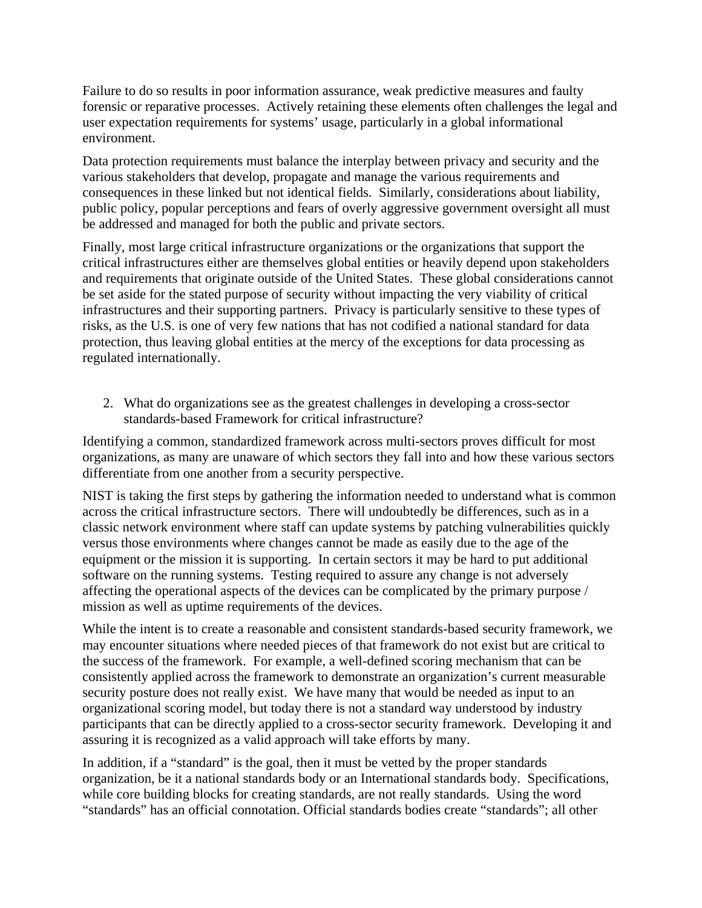Failure to do so results in poor information assurance, weak predictive measures and faulty forensic or reparative processes. Actively retaining these elements often challenges the legal and user expectation requirements for systems' usage, particularly in a global informational environment.

Data protection requirements must balance the interplay between privacy and security and the various stakeholders that develop, propagate and manage the various requirements and consequences in these linked but not identical fields. Similarly, considerations about liability, public policy, popular perceptions and fears of overly aggressive government oversight all must be addressed and managed for both the public and private sectors.

Finally, most large critical infrastructure organizations or the organizations that support the critical infrastructures either are themselves global entities or heavily depend upon stakeholders and requirements that originate outside of the United States. These global considerations cannot be set aside for the stated purpose of security without impacting the very viability of critical infrastructures and their supporting partners. Privacy is particularly sensitive to these types of risks, as the U.S. is one of very few nations that has not codified a national standard for data protection, thus leaving global entities at the mercy of the exceptions for data processing as regulated internationally.

2. What do organizations see as the greatest challenges in developing a cross-sector standards-based Framework for critical infrastructure?

Identifying a common, standardized framework across multi-sectors proves difficult for most organizations, as many are unaware of which sectors they fall into and how these various sectors differentiate from one another from a security perspective.

NIST is taking the first steps by gathering the information needed to understand what is common across the critical infrastructure sectors. There will undoubtedly be differences, such as in a classic network environment where staff can update systems by patching vulnerabilities quickly versus those environments where changes cannot be made as easily due to the age of the equipment or the mission it is supporting. In certain sectors it may be hard to put additional software on the running systems. Testing required to assure any change is not adversely affecting the operational aspects of the devices can be complicated by the primary purpose / mission as well as uptime requirements of the devices.

While the intent is to create a reasonable and consistent standards-based security framework, we may encounter situations where needed pieces of that framework do not exist but are critical to the success of the framework. For example, a well-defined scoring mechanism that can be consistently applied across the framework to demonstrate an organization's current measurable security posture does not really exist. We have many that would be needed as input to an organizational scoring model, but today there is not a standard way understood by industry participants that can be directly applied to a cross-sector security framework. Developing it and assuring it is recognized as a valid approach will take efforts by many.

In addition, if a "standard" is the goal, then it must be vetted by the proper standards organization, be it a national standards body or an International standards body. Specifications, while core building blocks for creating standards, are not really standards. Using the word "standards" has an official connotation. Official standards bodies create "standards"; all other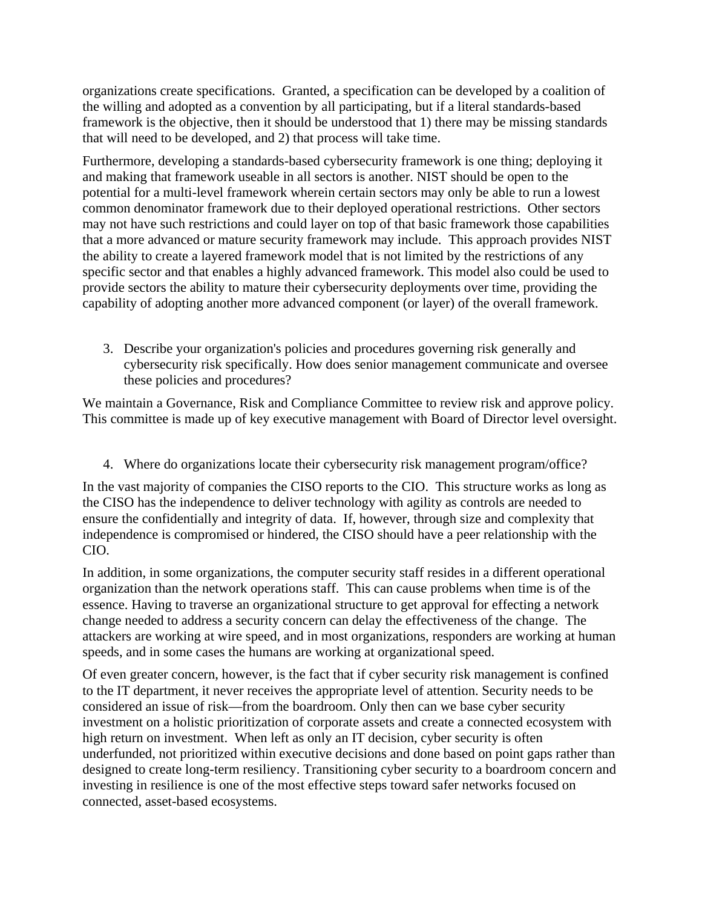organizations create specifications. Granted, a specification can be developed by a coalition of the willing and adopted as a convention by all participating, but if a literal standards-based framework is the objective, then it should be understood that 1) there may be missing standards that will need to be developed, and 2) that process will take time.

Furthermore, developing a standards-based cybersecurity framework is one thing; deploying it and making that framework useable in all sectors is another. NIST should be open to the potential for a multi-level framework wherein certain sectors may only be able to run a lowest common denominator framework due to their deployed operational restrictions. Other sectors may not have such restrictions and could layer on top of that basic framework those capabilities that a more advanced or mature security framework may include. This approach provides NIST the ability to create a layered framework model that is not limited by the restrictions of any specific sector and that enables a highly advanced framework. This model also could be used to provide sectors the ability to mature their cybersecurity deployments over time, providing the capability of adopting another more advanced component (or layer) of the overall framework.

3. Describe your organization's policies and procedures governing risk generally and cybersecurity risk specifically. How does senior management communicate and oversee these policies and procedures?

We maintain a Governance, Risk and Compliance Committee to review risk and approve policy. This committee is made up of key executive management with Board of Director level oversight.

4. Where do organizations locate their cybersecurity risk management program/office?

In the vast majority of companies the CISO reports to the CIO. This structure works as long as the CISO has the independence to deliver technology with agility as controls are needed to ensure the confidentially and integrity of data. If, however, through size and complexity that independence is compromised or hindered, the CISO should have a peer relationship with the CIO.

In addition, in some organizations, the computer security staff resides in a different operational organization than the network operations staff. This can cause problems when time is of the essence. Having to traverse an organizational structure to get approval for effecting a network change needed to address a security concern can delay the effectiveness of the change. The attackers are working at wire speed, and in most organizations, responders are working at human speeds, and in some cases the humans are working at organizational speed.

Of even greater concern, however, is the fact that if cyber security risk management is confined to the IT department, it never receives the appropriate level of attention. Security needs to be considered an issue of risk—from the boardroom. Only then can we base cyber security investment on a holistic prioritization of corporate assets and create a connected ecosystem with high return on investment. When left as only an IT decision, cyber security is often underfunded, not prioritized within executive decisions and done based on point gaps rather than designed to create long-term resiliency. Transitioning cyber security to a boardroom concern and investing in resilience is one of the most effective steps toward safer networks focused on connected, asset-based ecosystems.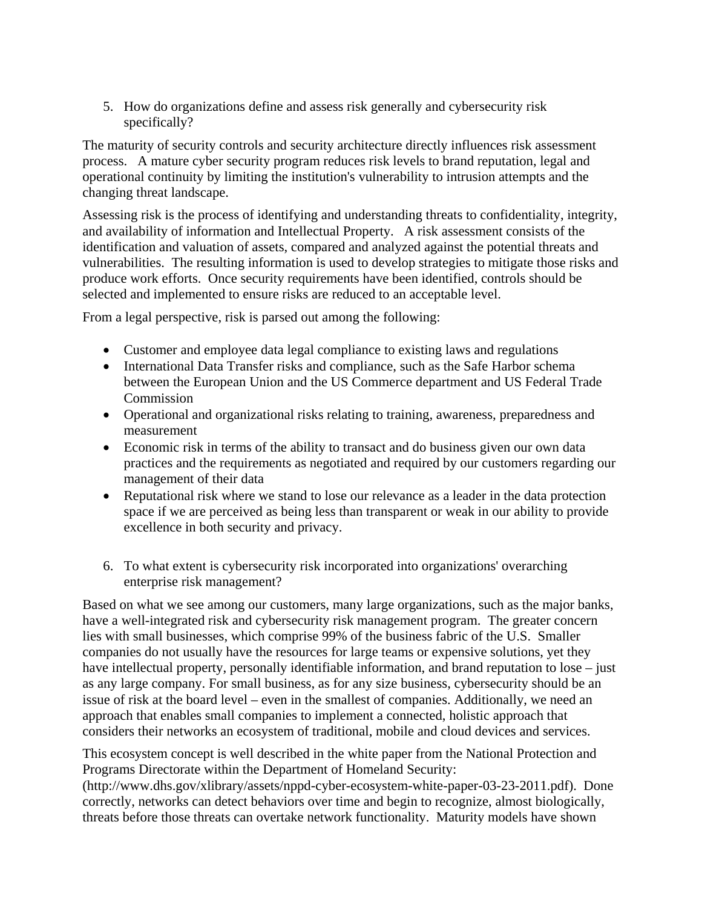5. How do organizations define and assess risk generally and cybersecurity risk specifically?

The maturity of security controls and security architecture directly influences risk assessment process. A mature cyber security program reduces risk levels to brand reputation, legal and operational continuity by limiting the institution's vulnerability to intrusion attempts and the changing threat landscape.

Assessing risk is the process of identifying and understanding threats to confidentiality, integrity, and availability of information and Intellectual Property. A risk assessment consists of the identification and valuation of assets, compared and analyzed against the potential threats and vulnerabilities. The resulting information is used to develop strategies to mitigate those risks and produce work efforts. Once security requirements have been identified, controls should be selected and implemented to ensure risks are reduced to an acceptable level.

From a legal perspective, risk is parsed out among the following:

- Customer and employee data legal compliance to existing laws and regulations
- International Data Transfer risks and compliance, such as the Safe Harbor schema between the European Union and the US Commerce department and US Federal Trade Commission
- Operational and organizational risks relating to training, awareness, preparedness and measurement
- Economic risk in terms of the ability to transact and do business given our own data practices and the requirements as negotiated and required by our customers regarding our management of their data
- Reputational risk where we stand to lose our relevance as a leader in the data protection space if we are perceived as being less than transparent or weak in our ability to provide excellence in both security and privacy.
- 6. To what extent is cybersecurity risk incorporated into organizations' overarching enterprise risk management?

Based on what we see among our customers, many large organizations, such as the major banks, have a well-integrated risk and cybersecurity risk management program. The greater concern lies with small businesses, which comprise 99% of the business fabric of the U.S. Smaller companies do not usually have the resources for large teams or expensive solutions, yet they have intellectual property, personally identifiable information, and brand reputation to lose – just as any large company. For small business, as for any size business, cybersecurity should be an issue of risk at the board level – even in the smallest of companies. Additionally, we need an approach that enables small companies to implement a connected, holistic approach that considers their networks an ecosystem of traditional, mobile and cloud devices and services.

This ecosystem concept is well described in the white paper from the National Protection and Programs Directorate within the Department of Homeland Security: [\(http://www.dhs.gov/xlibrary/assets/nppd-cyber-ecosystem-white-paper-03-23-2011.pdf\)](http://www.dhs.gov/xlibrary/assets/nppd-cyber-ecosystem-white-paper-03-23-2011.pdf). Done

correctly, networks can detect behaviors over time and begin to recognize, almost biologically, threats before those threats can overtake network functionality. Maturity models have shown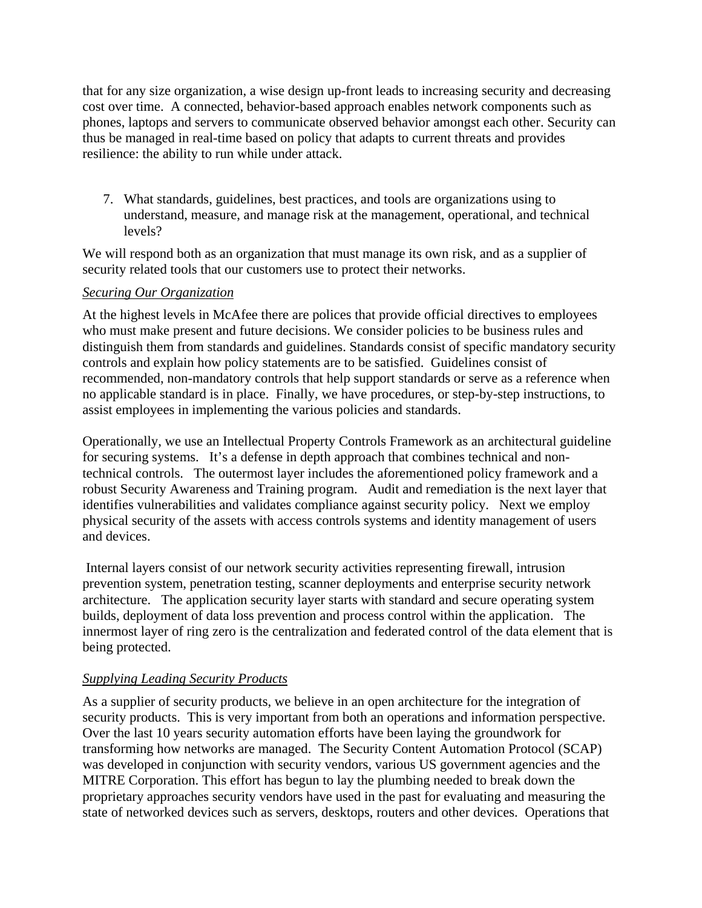that for any size organization, a wise design up-front leads to increasing security and decreasing cost over time. A connected, behavior-based approach enables network components such as phones, laptops and servers to communicate observed behavior amongst each other. Security can thus be managed in real-time based on policy that adapts to current threats and provides resilience: the ability to run while under attack.

7. What standards, guidelines, best practices, and tools are organizations using to understand, measure, and manage risk at the management, operational, and technical levels?

We will respond both as an organization that must manage its own risk, and as a supplier of security related tools that our customers use to protect their networks.

#### *Securing Our Organization*

At the highest levels in McAfee there are polices that provide official directives to employees who must make present and future decisions. We consider policies to be business rules and distinguish them from standards and guidelines. Standards consist of specific mandatory security controls and explain how policy statements are to be satisfied. Guidelines consist of recommended, non-mandatory controls that help support standards or serve as a reference when no applicable standard is in place. Finally, we have procedures, or step-by-step instructions, to assist employees in implementing the various policies and standards.

Operationally, we use an Intellectual Property Controls Framework as an architectural guideline for securing systems. It's a defense in depth approach that combines technical and nontechnical controls. The outermost layer includes the aforementioned policy framework and a robust Security Awareness and Training program. Audit and remediation is the next layer that identifies vulnerabilities and validates compliance against security policy. Next we employ physical security of the assets with access controls systems and identity management of users and devices.

Internal layers consist of our network security activities representing firewall, intrusion prevention system, penetration testing, scanner deployments and enterprise security network architecture. The application security layer starts with standard and secure operating system builds, deployment of data loss prevention and process control within the application. The innermost layer of ring zero is the centralization and federated control of the data element that is being protected.

## *Supplying Leading Security Products*

As a supplier of security products, we believe in an open architecture for the integration of security products. This is very important from both an operations and information perspective. Over the last 10 years security automation efforts have been laying the groundwork for transforming how networks are managed. The Security Content Automation Protocol (SCAP) was developed in conjunction with security vendors, various US government agencies and the MITRE Corporation. This effort has begun to lay the plumbing needed to break down the proprietary approaches security vendors have used in the past for evaluating and measuring the state of networked devices such as servers, desktops, routers and other devices. Operations that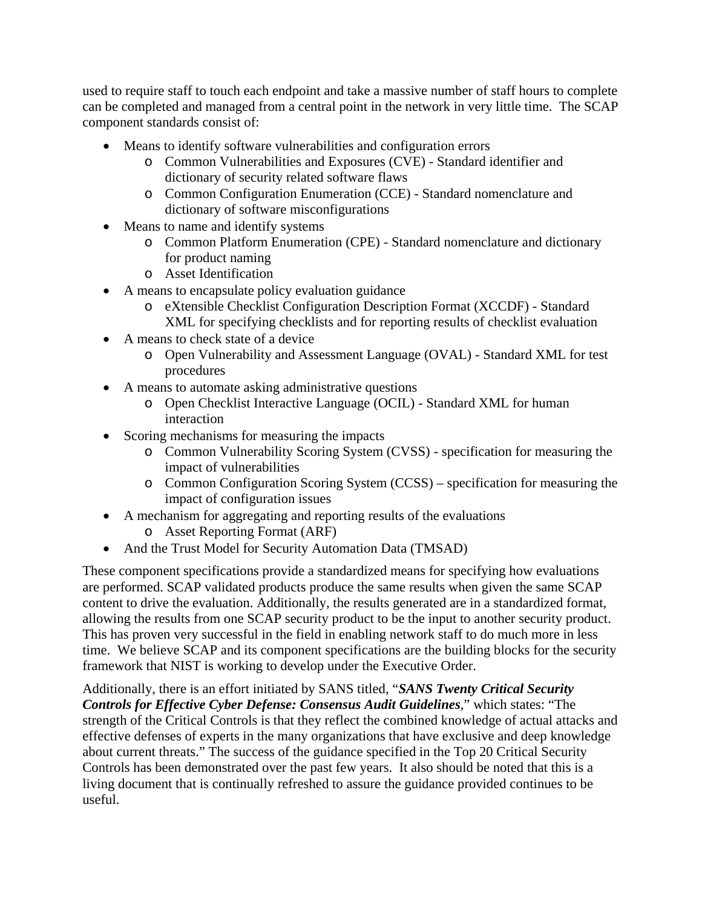used to require staff to touch each endpoint and take a massive number of staff hours to complete can be completed and managed from a central point in the network in very little time. The SCAP component standards consist of:

- Means to identify software vulnerabilities and configuration errors
	- o Common Vulnerabilities and Exposures (CVE) Standard identifier and dictionary of security related software flaws
	- o Common Configuration Enumeration (CCE) Standard nomenclature and dictionary of software misconfigurations
- Means to name and identify systems
	- o Common Platform Enumeration (CPE) Standard nomenclature and dictionary for product naming
	- o Asset Identification
- A means to encapsulate policy evaluation guidance
	- o eXtensible Checklist Configuration Description Format (XCCDF) Standard XML for specifying checklists and for reporting results of checklist evaluation
- A means to check state of a device
	- o Open Vulnerability and Assessment Language (OVAL) Standard XML for test procedures
- A means to automate asking administrative questions
	- o Open Checklist Interactive Language (OCIL) Standard XML for human interaction
- Scoring mechanisms for measuring the impacts
	- o Common Vulnerability Scoring System (CVSS) specification for measuring the impact of vulnerabilities
	- o Common Configuration Scoring System (CCSS) specification for measuring the impact of configuration issues
- A mechanism for aggregating and reporting results of the evaluations
	- o Asset Reporting Format (ARF)
- And the Trust Model for Security Automation Data (TMSAD)

These component specifications provide a standardized means for specifying how evaluations are performed. SCAP validated products produce the same results when given the same SCAP content to drive the evaluation. Additionally, the results generated are in a standardized format, allowing the results from one SCAP security product to be the input to another security product. This has proven very successful in the field in enabling network staff to do much more in less time. We believe SCAP and its component specifications are the building blocks for the security framework that NIST is working to develop under the Executive Order.

Additionally, there is an effort initiated by SANS titled, "*SANS Twenty Critical Security Controls for Effective Cyber Defense: Consensus Audit Guidelines*," which states: "The strength of the Critical Controls is that they reflect the combined knowledge of actual attacks and effective defenses of experts in the many organizations that have exclusive and deep knowledge about current threats." The success of the guidance specified in the Top 20 Critical Security Controls has been demonstrated over the past few years. It also should be noted that this is a living document that is continually refreshed to assure the guidance provided continues to be useful.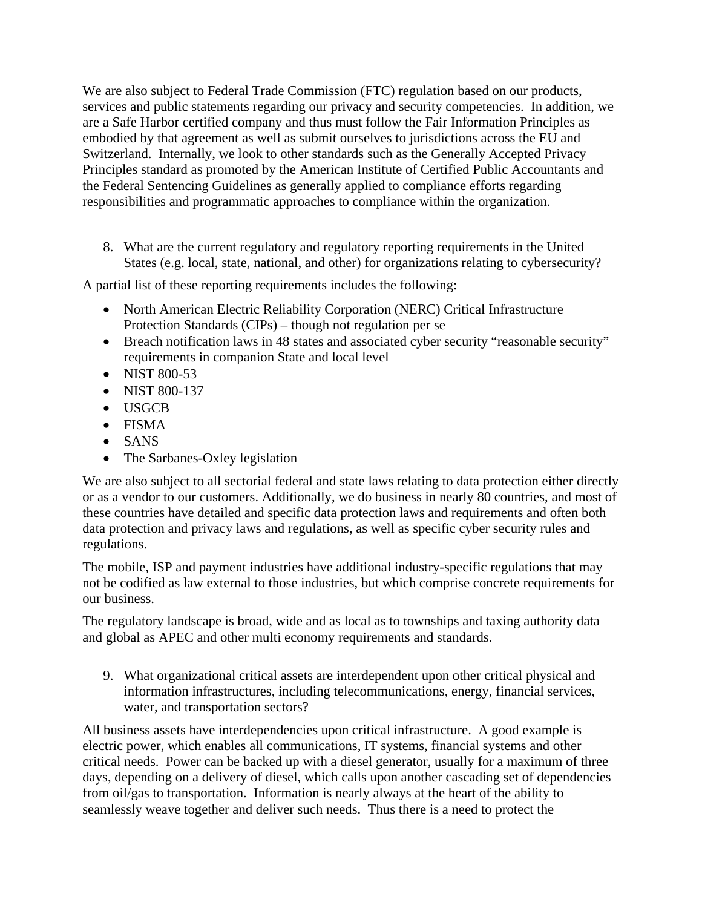We are also subject to Federal Trade Commission (FTC) regulation based on our products, services and public statements regarding our privacy and security competencies. In addition, we are a Safe Harbor certified company and thus must follow the Fair Information Principles as embodied by that agreement as well as submit ourselves to jurisdictions across the EU and Switzerland. Internally, we look to other standards such as the Generally Accepted Privacy Principles standard as promoted by the American Institute of Certified Public Accountants and the Federal Sentencing Guidelines as generally applied to compliance efforts regarding responsibilities and programmatic approaches to compliance within the organization.

8. What are the current regulatory and regulatory reporting requirements in the United States (e.g. local, state, national, and other) for organizations relating to cybersecurity?

A partial list of these reporting requirements includes the following:

- North American Electric Reliability Corporation (NERC) Critical Infrastructure Protection Standards (CIPs) – though not regulation per se
- Breach notification laws in 48 states and associated cyber security "reasonable security" requirements in companion State and local level
- NIST 800-53
- NIST 800-137
- USGCB
- FISMA
- SANS
- The Sarbanes-Oxley legislation

We are also subject to all sectorial federal and state laws relating to data protection either directly or as a vendor to our customers. Additionally, we do business in nearly 80 countries, and most of these countries have detailed and specific data protection laws and requirements and often both data protection and privacy laws and regulations, as well as specific cyber security rules and regulations.

The mobile, ISP and payment industries have additional industry-specific regulations that may not be codified as law external to those industries, but which comprise concrete requirements for our business.

The regulatory landscape is broad, wide and as local as to townships and taxing authority data and global as APEC and other multi economy requirements and standards.

9. What organizational critical assets are interdependent upon other critical physical and information infrastructures, including telecommunications, energy, financial services, water, and transportation sectors?

All business assets have interdependencies upon critical infrastructure. A good example is electric power, which enables all communications, IT systems, financial systems and other critical needs. Power can be backed up with a diesel generator, usually for a maximum of three days, depending on a delivery of diesel, which calls upon another cascading set of dependencies from oil/gas to transportation. Information is nearly always at the heart of the ability to seamlessly weave together and deliver such needs. Thus there is a need to protect the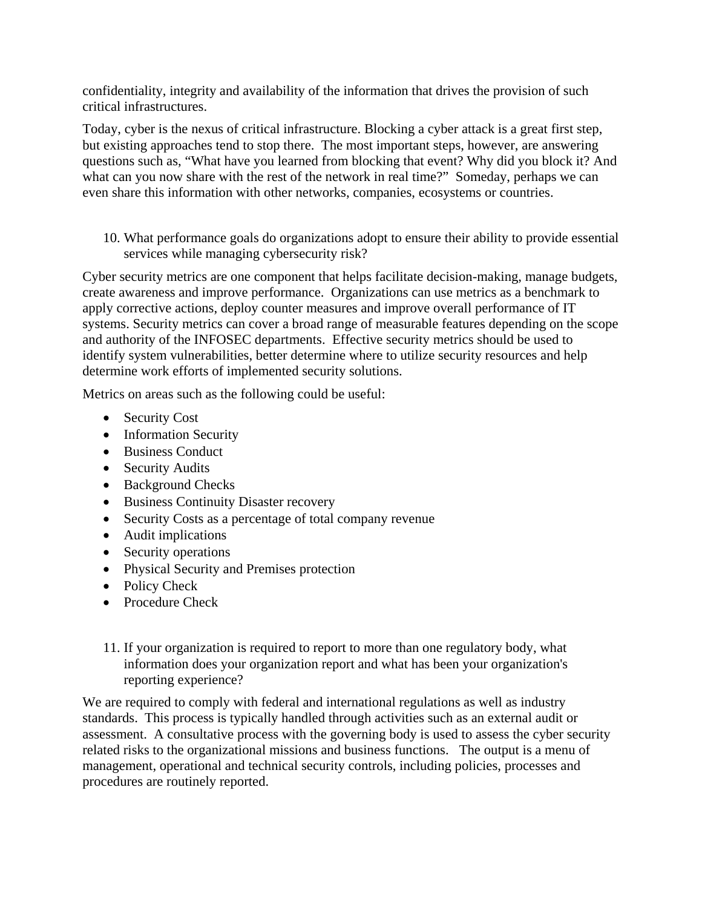confidentiality, integrity and availability of the information that drives the provision of such critical infrastructures.

Today, cyber is the nexus of critical infrastructure. Blocking a cyber attack is a great first step, but existing approaches tend to stop there. The most important steps, however, are answering questions such as, "What have you learned from blocking that event? Why did you block it? And what can you now share with the rest of the network in real time?" Someday, perhaps we can even share this information with other networks, companies, ecosystems or countries.

10. What performance goals do organizations adopt to ensure their ability to provide essential services while managing cybersecurity risk?

Cyber security metrics are one component that helps facilitate decision-making, manage budgets, create awareness and improve performance. Organizations can use metrics as a benchmark to apply corrective actions, deploy counter measures and improve overall performance of IT systems. Security metrics can cover a broad range of measurable features depending on the scope and authority of the INFOSEC departments. Effective security metrics should be used to identify system vulnerabilities, better determine where to utilize security resources and help determine work efforts of implemented security solutions.

Metrics on areas such as the following could be useful:

- Security Cost
- Information Security
- Business Conduct
- Security Audits
- Background Checks
- Business Continuity Disaster recovery
- Security Costs as a percentage of total company revenue
- Audit implications
- Security operations
- Physical Security and Premises protection
- Policy Check
- Procedure Check
- 11. If your organization is required to report to more than one regulatory body, what information does your organization report and what has been your organization's reporting experience?

We are required to comply with federal and international regulations as well as industry standards. This process is typically handled through activities such as an external audit or assessment. A consultative process with the governing body is used to assess the cyber security related risks to the organizational missions and business functions. The output is a menu of management, operational and technical security controls, including policies, processes and procedures are routinely reported.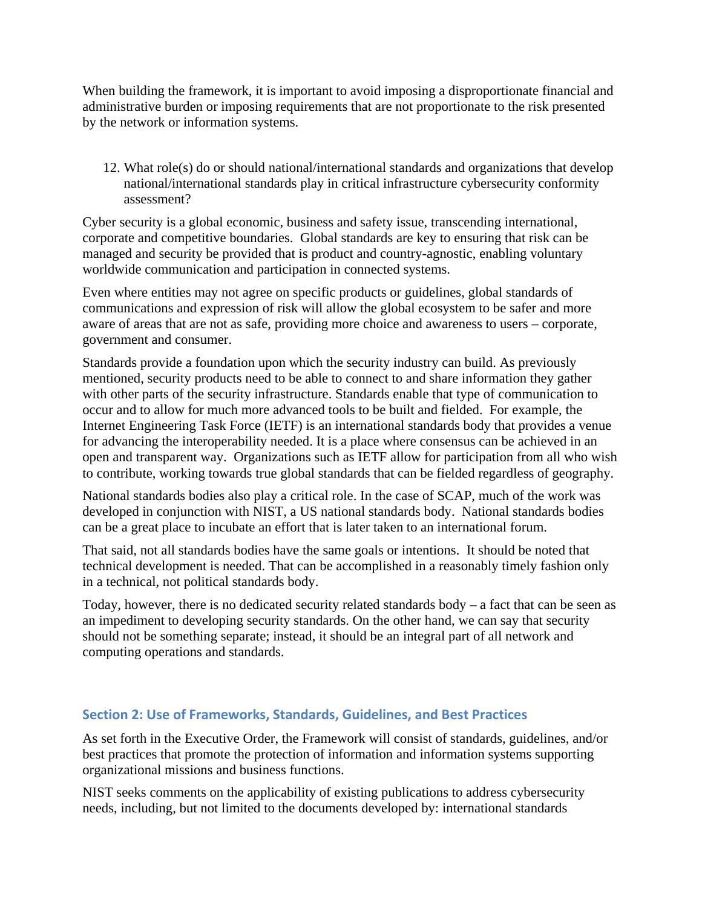When building the framework, it is important to avoid imposing a disproportionate financial and administrative burden or imposing requirements that are not proportionate to the risk presented by the network or information systems.

12. What role(s) do or should national/international standards and organizations that develop national/international standards play in critical infrastructure cybersecurity conformity assessment?

Cyber security is a global economic, business and safety issue, transcending international, corporate and competitive boundaries. Global standards are key to ensuring that risk can be managed and security be provided that is product and country-agnostic, enabling voluntary worldwide communication and participation in connected systems.

Even where entities may not agree on specific products or guidelines, global standards of communications and expression of risk will allow the global ecosystem to be safer and more aware of areas that are not as safe, providing more choice and awareness to users – corporate, government and consumer.

Standards provide a foundation upon which the security industry can build. As previously mentioned, security products need to be able to connect to and share information they gather with other parts of the security infrastructure. Standards enable that type of communication to occur and to allow for much more advanced tools to be built and fielded. For example, the Internet Engineering Task Force (IETF) is an international standards body that provides a venue for advancing the interoperability needed. It is a place where consensus can be achieved in an open and transparent way. Organizations such as IETF allow for participation from all who wish to contribute, working towards true global standards that can be fielded regardless of geography.

National standards bodies also play a critical role. In the case of SCAP, much of the work was developed in conjunction with NIST, a US national standards body. National standards bodies can be a great place to incubate an effort that is later taken to an international forum.

That said, not all standards bodies have the same goals or intentions. It should be noted that technical development is needed. That can be accomplished in a reasonably timely fashion only in a technical, not political standards body.

Today, however, there is no dedicated security related standards body – a fact that can be seen as an impediment to developing security standards. On the other hand, we can say that security should not be something separate; instead, it should be an integral part of all network and computing operations and standards.

## **Section 2: Use of Frameworks, Standards, Guidelines, and Best Practices**

As set forth in the Executive Order, the Framework will consist of standards, guidelines, and/or best practices that promote the protection of information and information systems supporting organizational missions and business functions.

NIST seeks comments on the applicability of existing publications to address cybersecurity needs, including, but not limited to the documents developed by: international standards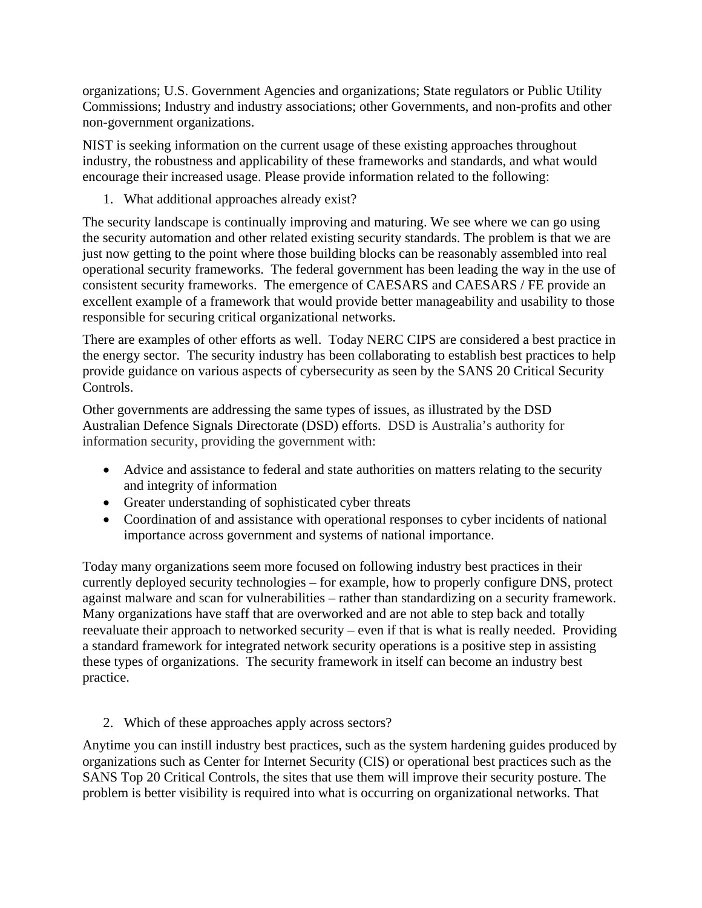organizations; U.S. Government Agencies and organizations; State regulators or Public Utility Commissions; Industry and industry associations; other Governments, and non-profits and other non-government organizations.

NIST is seeking information on the current usage of these existing approaches throughout industry, the robustness and applicability of these frameworks and standards, and what would encourage their increased usage. Please provide information related to the following:

1. What additional approaches already exist?

The security landscape is continually improving and maturing. We see where we can go using the security automation and other related existing security standards. The problem is that we are just now getting to the point where those building blocks can be reasonably assembled into real operational security frameworks. The federal government has been leading the way in the use of consistent security frameworks. The emergence of CAESARS and CAESARS / FE provide an excellent example of a framework that would provide better manageability and usability to those responsible for securing critical organizational networks.

There are examples of other efforts as well. Today NERC CIPS are considered a best practice in the energy sector. The security industry has been collaborating to establish best practices to help provide guidance on various aspects of cybersecurity as seen by the SANS 20 Critical Security Controls.

Other governments are addressing the same types of issues, as illustrated by the DSD Australian Defence Signals Directorate (DSD) efforts. DSD is Australia's authority for information security, providing the government with:

- Advice and assistance to federal and state authorities on matters relating to the security and integrity of information
- Greater understanding of sophisticated cyber threats
- Coordination of and assistance with operational responses to cyber incidents of national importance across government and systems of national importance.

Today many organizations seem more focused on following industry best practices in their currently deployed security technologies – for example, how to properly configure DNS, protect against malware and scan for vulnerabilities – rather than standardizing on a security framework. Many organizations have staff that are overworked and are not able to step back and totally reevaluate their approach to networked security – even if that is what is really needed. Providing a standard framework for integrated network security operations is a positive step in assisting these types of organizations. The security framework in itself can become an industry best practice.

2. Which of these approaches apply across sectors?

Anytime you can instill industry best practices, such as the system hardening guides produced by organizations such as Center for Internet Security (CIS) or operational best practices such as the SANS Top 20 Critical Controls, the sites that use them will improve their security posture. The problem is better visibility is required into what is occurring on organizational networks. That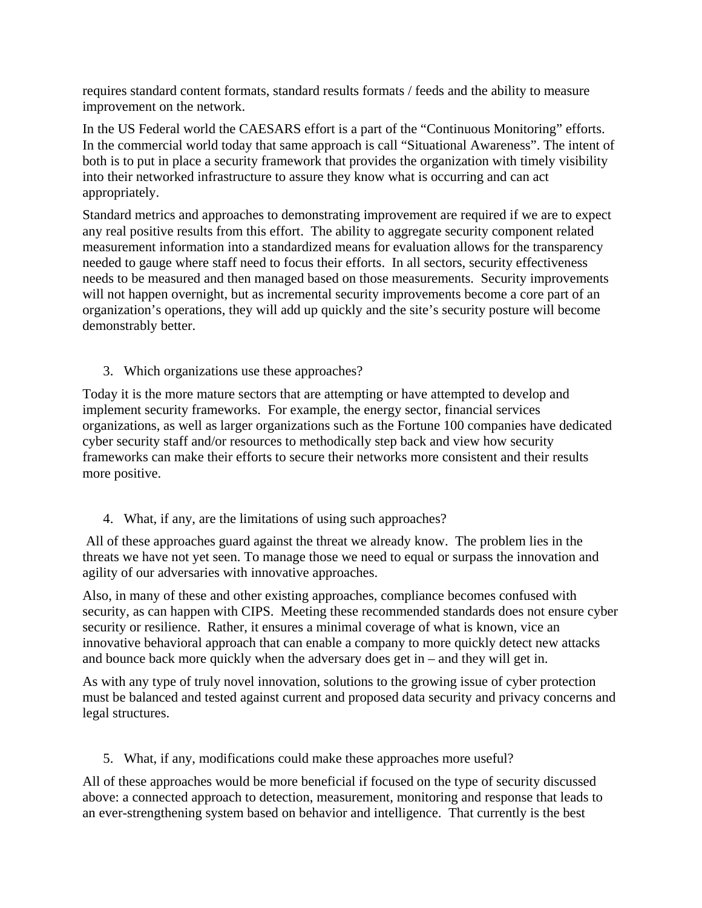requires standard content formats, standard results formats / feeds and the ability to measure improvement on the network.

In the US Federal world the CAESARS effort is a part of the "Continuous Monitoring" efforts. In the commercial world today that same approach is call "Situational Awareness". The intent of both is to put in place a security framework that provides the organization with timely visibility into their networked infrastructure to assure they know what is occurring and can act appropriately.

Standard metrics and approaches to demonstrating improvement are required if we are to expect any real positive results from this effort. The ability to aggregate security component related measurement information into a standardized means for evaluation allows for the transparency needed to gauge where staff need to focus their efforts. In all sectors, security effectiveness needs to be measured and then managed based on those measurements. Security improvements will not happen overnight, but as incremental security improvements become a core part of an organization's operations, they will add up quickly and the site's security posture will become demonstrably better.

3. Which organizations use these approaches?

Today it is the more mature sectors that are attempting or have attempted to develop and implement security frameworks. For example, the energy sector, financial services organizations, as well as larger organizations such as the Fortune 100 companies have dedicated cyber security staff and/or resources to methodically step back and view how security frameworks can make their efforts to secure their networks more consistent and their results more positive.

4. What, if any, are the limitations of using such approaches?

All of these approaches guard against the threat we already know. The problem lies in the threats we have not yet seen. To manage those we need to equal or surpass the innovation and agility of our adversaries with innovative approaches.

Also, in many of these and other existing approaches, compliance becomes confused with security, as can happen with CIPS. Meeting these recommended standards does not ensure cyber security or resilience. Rather, it ensures a minimal coverage of what is known, vice an innovative behavioral approach that can enable a company to more quickly detect new attacks and bounce back more quickly when the adversary does get in – and they will get in.

As with any type of truly novel innovation, solutions to the growing issue of cyber protection must be balanced and tested against current and proposed data security and privacy concerns and legal structures.

5. What, if any, modifications could make these approaches more useful?

All of these approaches would be more beneficial if focused on the type of security discussed above: a connected approach to detection, measurement, monitoring and response that leads to an ever-strengthening system based on behavior and intelligence. That currently is the best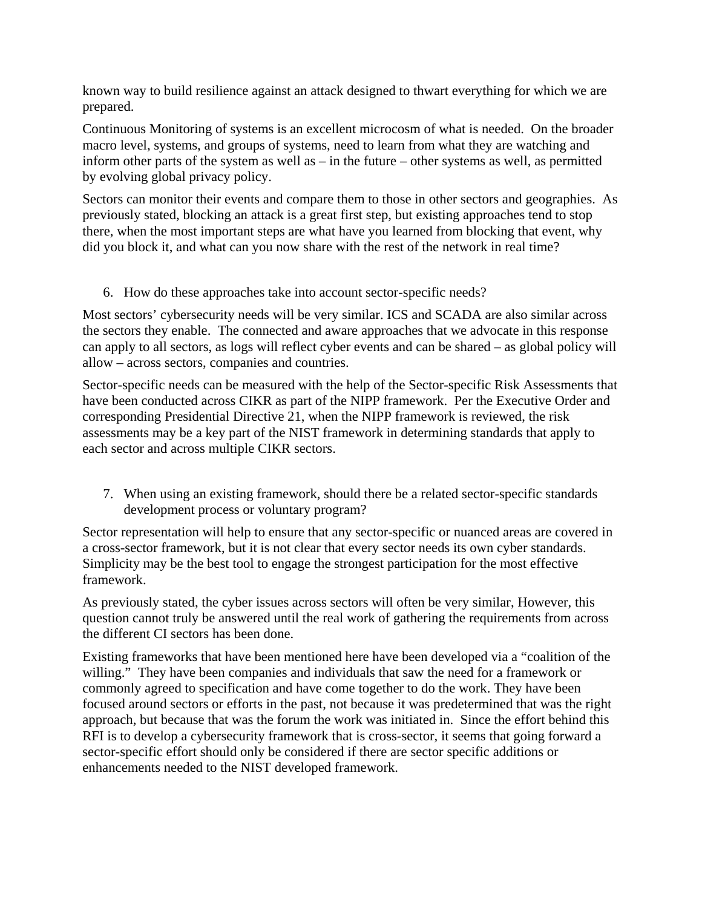known way to build resilience against an attack designed to thwart everything for which we are prepared.

Continuous Monitoring of systems is an excellent microcosm of what is needed. On the broader macro level, systems, and groups of systems, need to learn from what they are watching and inform other parts of the system as well as – in the future – other systems as well, as permitted by evolving global privacy policy.

Sectors can monitor their events and compare them to those in other sectors and geographies. As previously stated, blocking an attack is a great first step, but existing approaches tend to stop there, when the most important steps are what have you learned from blocking that event, why did you block it, and what can you now share with the rest of the network in real time?

#### 6. How do these approaches take into account sector-specific needs?

Most sectors' cybersecurity needs will be very similar. ICS and SCADA are also similar across the sectors they enable. The connected and aware approaches that we advocate in this response can apply to all sectors, as logs will reflect cyber events and can be shared – as global policy will allow – across sectors, companies and countries.

Sector-specific needs can be measured with the help of the Sector-specific Risk Assessments that have been conducted across CIKR as part of the NIPP framework. Per the Executive Order and corresponding Presidential Directive 21, when the NIPP framework is reviewed, the risk assessments may be a key part of the NIST framework in determining standards that apply to each sector and across multiple CIKR sectors.

7. When using an existing framework, should there be a related sector-specific standards development process or voluntary program?

Sector representation will help to ensure that any sector-specific or nuanced areas are covered in a cross-sector framework, but it is not clear that every sector needs its own cyber standards. Simplicity may be the best tool to engage the strongest participation for the most effective framework.

As previously stated, the cyber issues across sectors will often be very similar, However, this question cannot truly be answered until the real work of gathering the requirements from across the different CI sectors has been done.

Existing frameworks that have been mentioned here have been developed via a "coalition of the willing." They have been companies and individuals that saw the need for a framework or commonly agreed to specification and have come together to do the work. They have been focused around sectors or efforts in the past, not because it was predetermined that was the right approach, but because that was the forum the work was initiated in. Since the effort behind this RFI is to develop a cybersecurity framework that is cross-sector, it seems that going forward a sector-specific effort should only be considered if there are sector specific additions or enhancements needed to the NIST developed framework.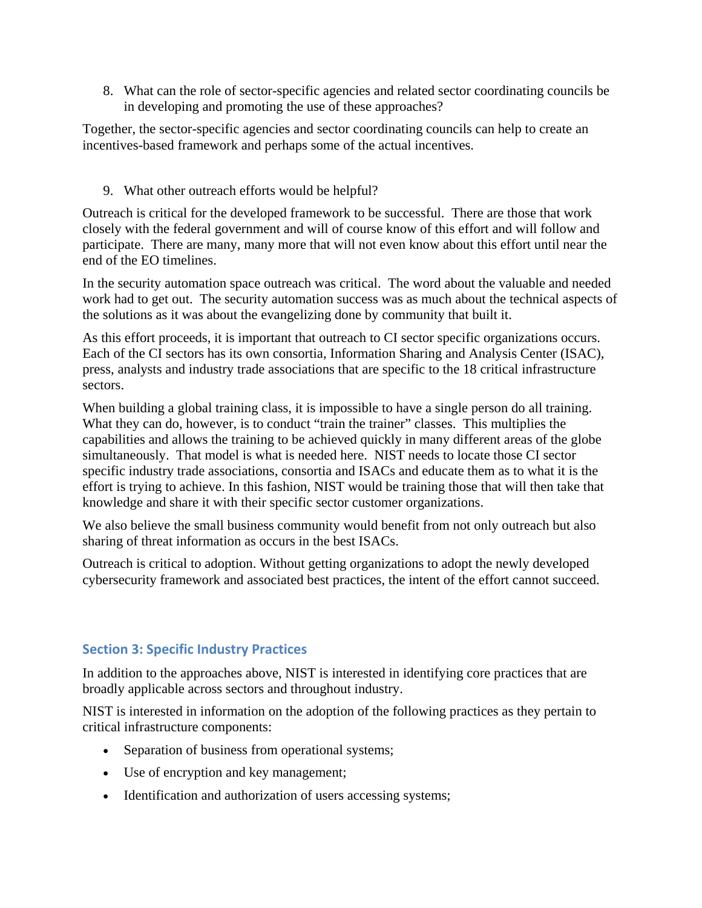8. What can the role of sector-specific agencies and related sector coordinating councils be in developing and promoting the use of these approaches?

Together, the sector-specific agencies and sector coordinating councils can help to create an incentives-based framework and perhaps some of the actual incentives.

9. What other outreach efforts would be helpful?

Outreach is critical for the developed framework to be successful. There are those that work closely with the federal government and will of course know of this effort and will follow and participate. There are many, many more that will not even know about this effort until near the end of the EO timelines.

In the security automation space outreach was critical. The word about the valuable and needed work had to get out. The security automation success was as much about the technical aspects of the solutions as it was about the evangelizing done by community that built it.

As this effort proceeds, it is important that outreach to CI sector specific organizations occurs. Each of the CI sectors has its own consortia, Information Sharing and Analysis Center (ISAC), press, analysts and industry trade associations that are specific to the 18 critical infrastructure sectors.

When building a global training class, it is impossible to have a single person do all training. What they can do, however, is to conduct "train the trainer" classes. This multiplies the capabilities and allows the training to be achieved quickly in many different areas of the globe simultaneously. That model is what is needed here. NIST needs to locate those CI sector specific industry trade associations, consortia and ISACs and educate them as to what it is the effort is trying to achieve. In this fashion, NIST would be training those that will then take that knowledge and share it with their specific sector customer organizations.

We also believe the small business community would benefit from not only outreach but also sharing of threat information as occurs in the best ISACs.

Outreach is critical to adoption. Without getting organizations to adopt the newly developed cybersecurity framework and associated best practices, the intent of the effort cannot succeed.

## **Section 3: Specific Industry Practices**

In addition to the approaches above, NIST is interested in identifying core practices that are broadly applicable across sectors and throughout industry.

NIST is interested in information on the adoption of the following practices as they pertain to critical infrastructure components:

- Separation of business from operational systems;
- Use of encryption and key management;
- Identification and authorization of users accessing systems;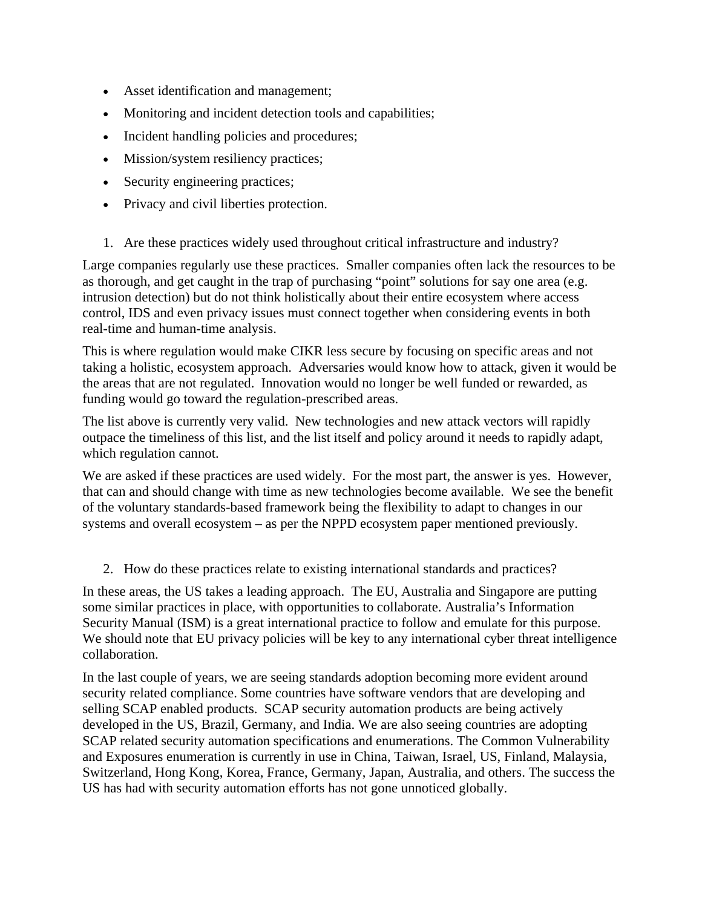- Asset identification and management;
- Monitoring and incident detection tools and capabilities;
- Incident handling policies and procedures;
- Mission/system resiliency practices;
- Security engineering practices;
- Privacy and civil liberties protection.
- 1. Are these practices widely used throughout critical infrastructure and industry?

Large companies regularly use these practices. Smaller companies often lack the resources to be as thorough, and get caught in the trap of purchasing "point" solutions for say one area (e.g. intrusion detection) but do not think holistically about their entire ecosystem where access control, IDS and even privacy issues must connect together when considering events in both real-time and human-time analysis.

This is where regulation would make CIKR less secure by focusing on specific areas and not taking a holistic, ecosystem approach. Adversaries would know how to attack, given it would be the areas that are not regulated. Innovation would no longer be well funded or rewarded, as funding would go toward the regulation-prescribed areas.

The list above is currently very valid. New technologies and new attack vectors will rapidly outpace the timeliness of this list, and the list itself and policy around it needs to rapidly adapt, which regulation cannot.

We are asked if these practices are used widely. For the most part, the answer is yes. However, that can and should change with time as new technologies become available. We see the benefit of the voluntary standards-based framework being the flexibility to adapt to changes in our systems and overall ecosystem – as per the NPPD ecosystem paper mentioned previously.

2. How do these practices relate to existing international standards and practices?

In these areas, the US takes a leading approach. The EU, Australia and Singapore are putting some similar practices in place, with opportunities to collaborate. Australia's Information Security Manual (ISM) is a great international practice to follow and emulate for this purpose. We should note that EU privacy policies will be key to any international cyber threat intelligence collaboration.

In the last couple of years, we are seeing standards adoption becoming more evident around security related compliance. Some countries have software vendors that are developing and selling SCAP enabled products. SCAP security automation products are being actively developed in the US, Brazil, Germany, and India. We are also seeing countries are adopting SCAP related security automation specifications and enumerations. The Common Vulnerability and Exposures enumeration is currently in use in China, Taiwan, Israel, US, Finland, Malaysia, Switzerland, Hong Kong, Korea, France, Germany, Japan, Australia, and others. The success the US has had with security automation efforts has not gone unnoticed globally.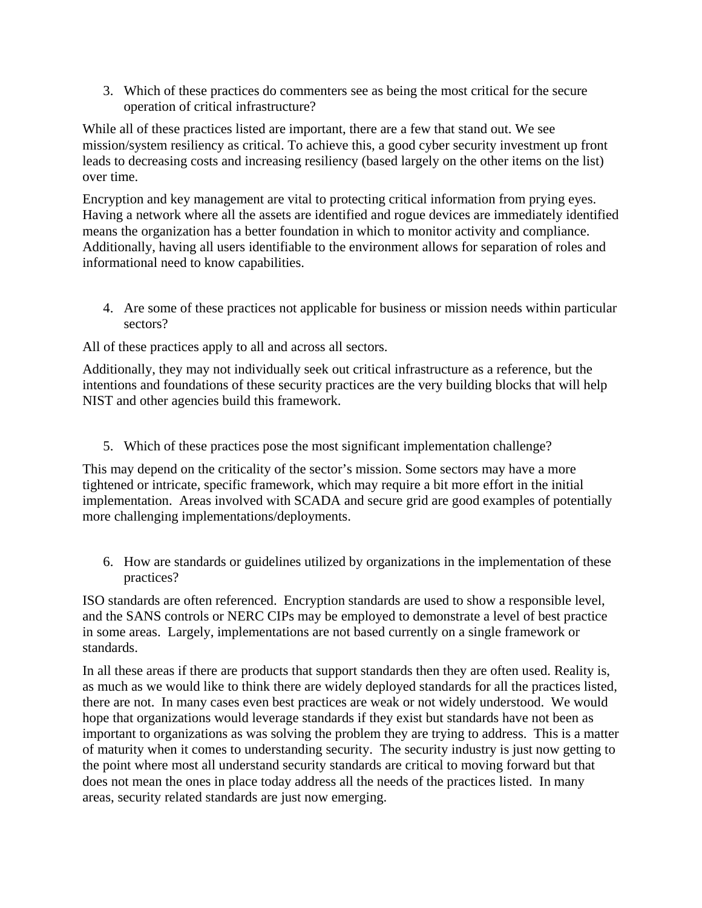3. Which of these practices do commenters see as being the most critical for the secure operation of critical infrastructure?

While all of these practices listed are important, there are a few that stand out. We see mission/system resiliency as critical. To achieve this, a good cyber security investment up front leads to decreasing costs and increasing resiliency (based largely on the other items on the list) over time.

Encryption and key management are vital to protecting critical information from prying eyes. Having a network where all the assets are identified and rogue devices are immediately identified means the organization has a better foundation in which to monitor activity and compliance. Additionally, having all users identifiable to the environment allows for separation of roles and informational need to know capabilities.

4. Are some of these practices not applicable for business or mission needs within particular sectors?

All of these practices apply to all and across all sectors.

Additionally, they may not individually seek out critical infrastructure as a reference, but the intentions and foundations of these security practices are the very building blocks that will help NIST and other agencies build this framework.

5. Which of these practices pose the most significant implementation challenge?

This may depend on the criticality of the sector's mission. Some sectors may have a more tightened or intricate, specific framework, which may require a bit more effort in the initial implementation. Areas involved with SCADA and secure grid are good examples of potentially more challenging implementations/deployments.

6. How are standards or guidelines utilized by organizations in the implementation of these practices?

ISO standards are often referenced. Encryption standards are used to show a responsible level, and the SANS controls or NERC CIPs may be employed to demonstrate a level of best practice in some areas. Largely, implementations are not based currently on a single framework or standards.

In all these areas if there are products that support standards then they are often used. Reality is, as much as we would like to think there are widely deployed standards for all the practices listed, there are not. In many cases even best practices are weak or not widely understood. We would hope that organizations would leverage standards if they exist but standards have not been as important to organizations as was solving the problem they are trying to address. This is a matter of maturity when it comes to understanding security. The security industry is just now getting to the point where most all understand security standards are critical to moving forward but that does not mean the ones in place today address all the needs of the practices listed. In many areas, security related standards are just now emerging.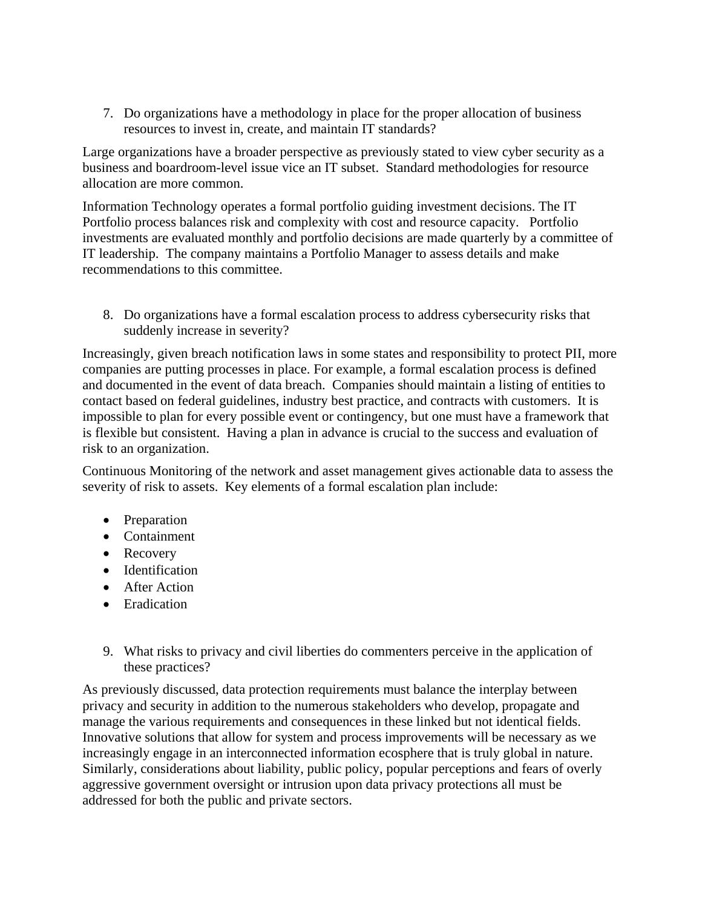7. Do organizations have a methodology in place for the proper allocation of business resources to invest in, create, and maintain IT standards?

Large organizations have a broader perspective as previously stated to view cyber security as a business and boardroom-level issue vice an IT subset. Standard methodologies for resource allocation are more common.

Information Technology operates a formal portfolio guiding investment decisions. The IT Portfolio process balances risk and complexity with cost and resource capacity. Portfolio investments are evaluated monthly and portfolio decisions are made quarterly by a committee of IT leadership. The company maintains a Portfolio Manager to assess details and make recommendations to this committee.

8. Do organizations have a formal escalation process to address cybersecurity risks that suddenly increase in severity?

Increasingly, given breach notification laws in some states and responsibility to protect PII, more companies are putting processes in place. For example, a formal escalation process is defined and documented in the event of data breach. Companies should maintain a listing of entities to contact based on federal guidelines, industry best practice, and contracts with customers. It is impossible to plan for every possible event or contingency, but one must have a framework that is flexible but consistent. Having a plan in advance is crucial to the success and evaluation of risk to an organization.

Continuous Monitoring of the network and asset management gives actionable data to assess the severity of risk to assets. Key elements of a formal escalation plan include:

- Preparation
- Containment
- Recovery
- Identification
- After Action
- Eradication
- 9. What risks to privacy and civil liberties do commenters perceive in the application of these practices?

As previously discussed, data protection requirements must balance the interplay between privacy and security in addition to the numerous stakeholders who develop, propagate and manage the various requirements and consequences in these linked but not identical fields. Innovative solutions that allow for system and process improvements will be necessary as we increasingly engage in an interconnected information ecosphere that is truly global in nature. Similarly, considerations about liability, public policy, popular perceptions and fears of overly aggressive government oversight or intrusion upon data privacy protections all must be addressed for both the public and private sectors.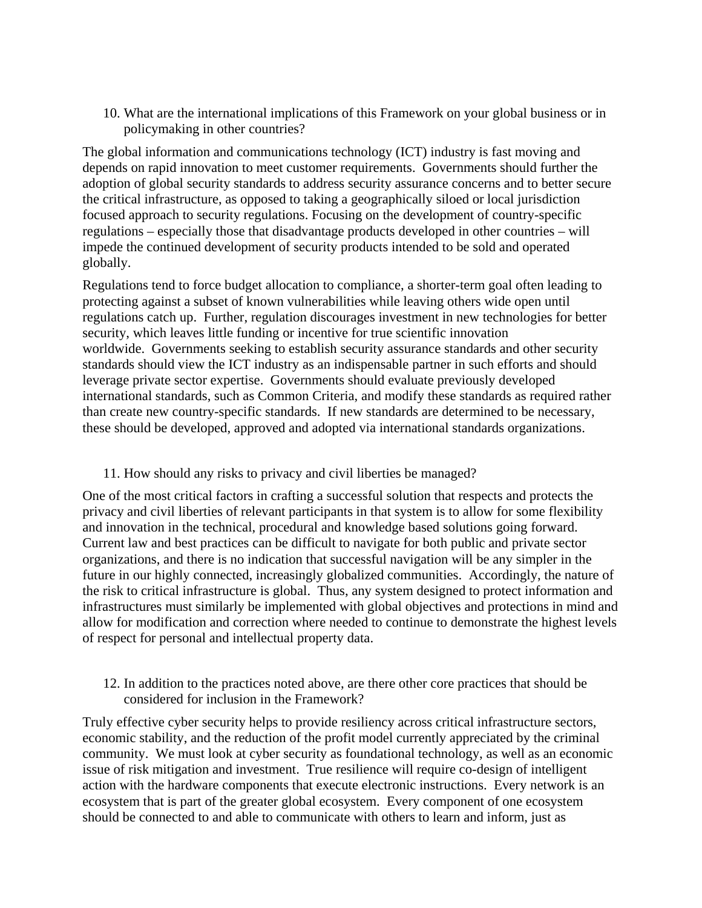10. What are the international implications of this Framework on your global business or in policymaking in other countries?

The global information and communications technology (ICT) industry is fast moving and depends on rapid innovation to meet customer requirements. Governments should further the adoption of global security standards to address security assurance concerns and to better secure the critical infrastructure, as opposed to taking a geographically siloed or local jurisdiction focused approach to security regulations. Focusing on the development of country-specific regulations – especially those that disadvantage products developed in other countries – will impede the continued development of security products intended to be sold and operated globally.

Regulations tend to force budget allocation to compliance, a shorter-term goal often leading to protecting against a subset of known vulnerabilities while leaving others wide open until regulations catch up. Further, regulation discourages investment in new technologies for better security, which leaves little funding or incentive for true scientific innovation worldwide. Governments seeking to establish security assurance standards and other security standards should view the ICT industry as an indispensable partner in such efforts and should leverage private sector expertise. Governments should evaluate previously developed international standards, such as Common Criteria, and modify these standards as required rather than create new country-specific standards. If new standards are determined to be necessary, these should be developed, approved and adopted via international standards organizations.

#### 11. How should any risks to privacy and civil liberties be managed?

One of the most critical factors in crafting a successful solution that respects and protects the privacy and civil liberties of relevant participants in that system is to allow for some flexibility and innovation in the technical, procedural and knowledge based solutions going forward. Current law and best practices can be difficult to navigate for both public and private sector organizations, and there is no indication that successful navigation will be any simpler in the future in our highly connected, increasingly globalized communities. Accordingly, the nature of the risk to critical infrastructure is global. Thus, any system designed to protect information and infrastructures must similarly be implemented with global objectives and protections in mind and allow for modification and correction where needed to continue to demonstrate the highest levels of respect for personal and intellectual property data.

12. In addition to the practices noted above, are there other core practices that should be considered for inclusion in the Framework?

Truly effective cyber security helps to provide resiliency across critical infrastructure sectors, economic stability, and the reduction of the profit model currently appreciated by the criminal community. We must look at cyber security as foundational technology, as well as an economic issue of risk mitigation and investment. True resilience will require co-design of intelligent action with the hardware components that execute electronic instructions. Every network is an ecosystem that is part of the greater global ecosystem. Every component of one ecosystem should be connected to and able to communicate with others to learn and inform, just as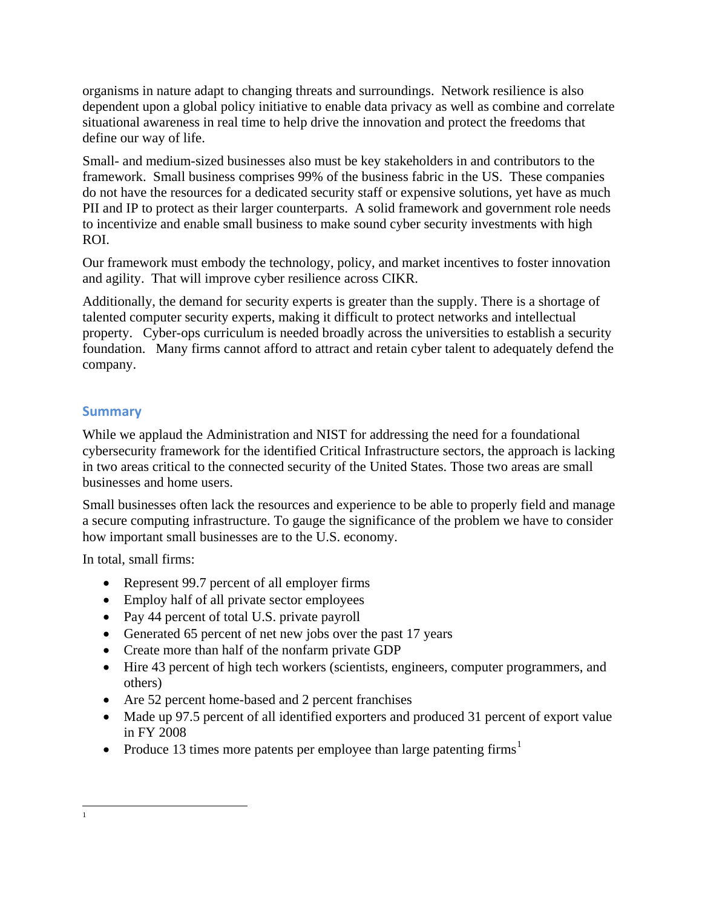organisms in nature adapt to changing threats and surroundings. Network resilience is also dependent upon a global policy initiative to enable data privacy as well as combine and correlate situational awareness in real time to help drive the innovation and protect the freedoms that define our way of life.

Small- and medium-sized businesses also must be key stakeholders in and contributors to the framework. Small business comprises 99% of the business fabric in the US. These companies do not have the resources for a dedicated security staff or expensive solutions, yet have as much PII and IP to protect as their larger counterparts. A solid framework and government role needs to incentivize and enable small business to make sound cyber security investments with high ROI.

Our framework must embody the technology, policy, and market incentives to foster innovation and agility. That will improve cyber resilience across CIKR.

Additionally, the demand for security experts is greater than the supply. There is a shortage of talented computer security experts, making it difficult to protect networks and intellectual property. Cyber-ops curriculum is needed broadly across the universities to establish a security foundation. Many firms cannot afford to attract and retain cyber talent to adequately defend the company.

## **Summary**

While we applaud the Administration and NIST for addressing the need for a foundational cybersecurity framework for the identified Critical Infrastructure sectors, the approach is lacking in two areas critical to the connected security of the United States. Those two areas are small businesses and home users.

Small businesses often lack the resources and experience to be able to properly field and manage a secure computing infrastructure. To gauge the significance of the problem we have to consider how important small businesses are to the U.S. economy.

In total, small firms:

- Represent 99.7 percent of all employer firms
- Employ half of all private sector employees
- Pay 44 percent of total U.S. private payroll
- Generated 65 percent of net new jobs over the past 17 years
- Create more than half of the nonfarm private GDP
- Hire 43 percent of high tech workers (scientists, engineers, computer programmers, and others)
- Are 52 percent home-based and 2 percent franchises
- Made up 97.5 percent of all identified exporters and produced 31 percent of export value in FY 2008
- Produce [1](#page-18-0)3 times more patents per employee than large patenting firms<sup>1</sup>

<span id="page-18-0"></span><sup>1</sup>  $\frac{1}{1}$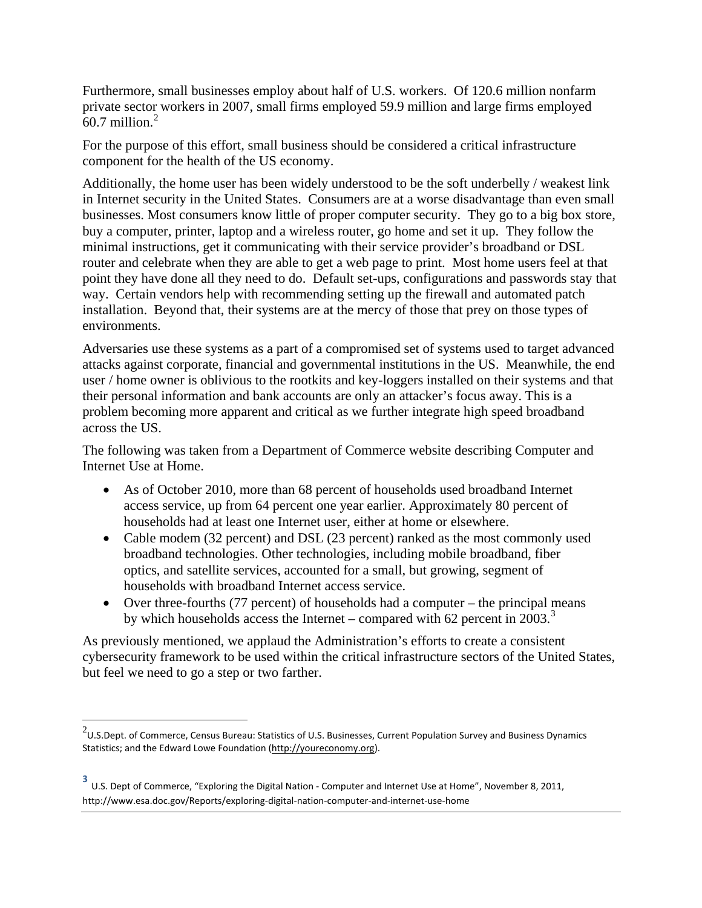Furthermore, small businesses employ about half of U.S. workers. Of 120.6 million nonfarm private sector workers in 2007, small firms employed 59.9 million and large firms employed  $60.7$  million.<sup>[2](#page-19-0)</sup>

For the purpose of this effort, small business should be considered a critical infrastructure component for the health of the US economy.

Additionally, the home user has been widely understood to be the soft underbelly / weakest link in Internet security in the United States. Consumers are at a worse disadvantage than even small businesses. Most consumers know little of proper computer security. They go to a big box store, buy a computer, printer, laptop and a wireless router, go home and set it up. They follow the minimal instructions, get it communicating with their service provider's broadband or DSL router and celebrate when they are able to get a web page to print. Most home users feel at that point they have done all they need to do. Default set-ups, configurations and passwords stay that way. Certain vendors help with recommending setting up the firewall and automated patch installation. Beyond that, their systems are at the mercy of those that prey on those types of environments.

Adversaries use these systems as a part of a compromised set of systems used to target advanced attacks against corporate, financial and governmental institutions in the US. Meanwhile, the end user / home owner is oblivious to the rootkits and key-loggers installed on their systems and that their personal information and bank accounts are only an attacker's focus away. This is a problem becoming more apparent and critical as we further integrate high speed broadband across the US.

The following was taken from a Department of Commerce website describing Computer and Internet Use at Home.

- As of October 2010, more than 68 percent of households used broadband Internet access service, up from 64 percent one year earlier. Approximately 80 percent of households had at least one Internet user, either at home or elsewhere.
- Cable modem (32 percent) and DSL (23 percent) ranked as the most commonly used broadband technologies. Other technologies, including mobile broadband, fiber optics, and satellite services, accounted for a small, but growing, segment of households with broadband Internet access service.
- Over three-fourths (77 percent) of households had a computer the principal means by which households access the Internet – compared with 62 percent in 200[3](#page-19-1).<sup>3</sup>

As previously mentioned, we applaud the Administration's efforts to create a consistent cybersecurity framework to be used within the critical infrastructure sectors of the United States, but feel we need to go a step or two farther.

<span id="page-19-0"></span> $^{2}$ U.S.Dept. of Commerce, Census Bureau: Statistics of U.S. Businesses, Current Population Survey and Business Dynamics Statistics; and the Edward Lowe Foundation [\(http://youreconomy.org\)](http://www.youreconomy.org/).  $\overline{\phantom{a}}$ 

<span id="page-19-1"></span>**<sup>3</sup>** U.S. Dept of Commerce, "Exploring the Digital Nation - Computer and Internet Use at Home", November 8, 2011, http://www.esa.doc.gov/Reports/exploring-digital-nation-computer-and-internet-use-home